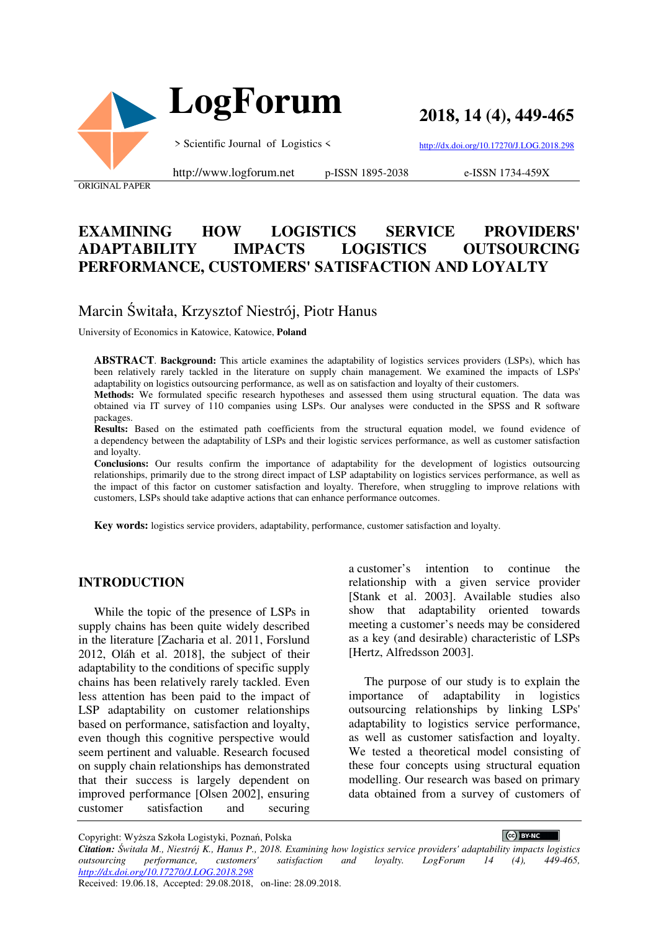

**2018, 14 (4), 449-465**

> Scientific Journal of Logistics <

http://dx.doi.org/10.17270/J.LOG.2018.298

ORIGINAL PAPER

http://www.logforum.net p-ISSN 1895-2038

e-ISSN 1734-459X

# **EXAMINING HOW LOGISTICS SERVICE PROVIDERS' ADAPTABILITY IMPACTS LOGISTICS OUTSOURCING PERFORMANCE, CUSTOMERS' SATISFACTION AND LOYALTY**

# Marcin Świtała, Krzysztof Niestrój, Piotr Hanus

University of Economics in Katowice, Katowice, **Poland**

**ABSTRACT**. **Background:** This article examines the adaptability of logistics services providers (LSPs), which has been relatively rarely tackled in the literature on supply chain management. We examined the impacts of LSPs' adaptability on logistics outsourcing performance, as well as on satisfaction and loyalty of their customers.

Methods: We formulated specific research hypotheses and assessed them using structural equation. The data was obtained via IT survey of 110 companies using LSPs. Our analyses were conducted in the SPSS and R software packages.

**Results:** Based on the estimated path coefficients from the structural equation model, we found evidence of a dependency between the adaptability of LSPs and their logistic services performance, as well as customer satisfaction and loyalty.

**Conclusions:** Our results confirm the importance of adaptability for the development of logistics outsourcing relationships, primarily due to the strong direct impact of LSP adaptability on logistics services performance, as well as the impact of this factor on customer satisfaction and loyalty. Therefore, when struggling to improve relations with customers, LSPs should take adaptive actions that can enhance performance outcomes.

**Key words:** logistics service providers, adaptability, performance, customer satisfaction and loyalty.

### **INTRODUCTION**

While the topic of the presence of LSPs in supply chains has been quite widely described in the literature [Zacharia et al. 2011, Forslund 2012, Oláh et al. 2018], the subject of their adaptability to the conditions of specific supply chains has been relatively rarely tackled. Even less attention has been paid to the impact of LSP adaptability on customer relationships based on performance, satisfaction and loyalty, even though this cognitive perspective would seem pertinent and valuable. Research focused on supply chain relationships has demonstrated that their success is largely dependent on improved performance [Olsen 2002], ensuring customer satisfaction and securing

a customer's intention to continue relationship with a given service provider [Stank et al. 2003]. Available studies also show that adaptability oriented towards meeting a customer's needs may be considered as a key (and desirable) characteristic of LSPs [Hertz, Alfredsson 2003].

The purpose of our study is to explain the importance of adaptability in logistics outsourcing relationships by linking LSPs' adaptability to logistics service performance, as well as customer satisfaction and loyalty. We tested a theoretical model consisting of these four concepts using structural equation modelling. Our research was based on primary data obtained from a survey of customers of

 $\left(\text{cc}\right)$  BY-NC

Copyright: Wyższa Szkoła Logistyki, Poznań, Polska *Citation: Świtała M., Niestrój K., Hanus P., 2018. Examining how logistics service providers' adaptability impacts logistics outsourcing performance, customers' satisfaction and loyalty. LogForum 14 (4), http://dx.doi.org/10.17270/J.LOG.2018.298*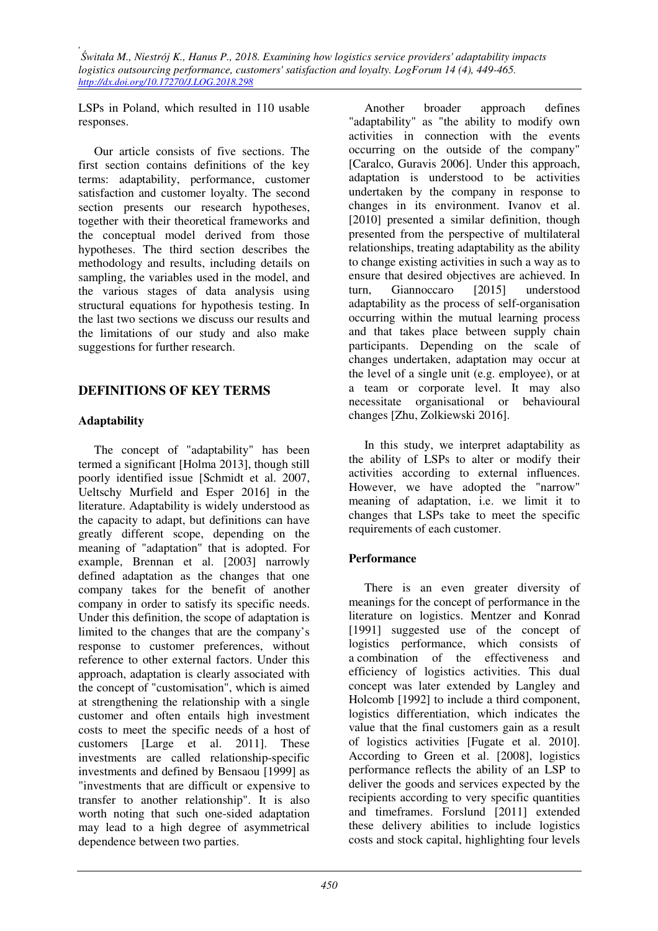LSPs in Poland, which resulted in 110 usable responses.

Our article consists of five sections. The first section contains definitions of the key terms: adaptability, performance, customer satisfaction and customer loyalty. The second section presents our research hypotheses, together with their theoretical frameworks and the conceptual model derived from those hypotheses. The third section describes the methodology and results, including details on sampling, the variables used in the model, and the various stages of data analysis using structural equations for hypothesis testing. In the last two sections we discuss our results and the limitations of our study and also make suggestions for further research.

## **DEFINITIONS OF KEY TERMS**

## **Adaptability**

The concept of "adaptability" has been termed a significant [Holma 2013], though still poorly identified issue [Schmidt et al. 2007, Ueltschy Murfield and Esper 2016] in the literature. Adaptability is widely understood as the capacity to adapt, but definitions can have greatly different scope, depending on the meaning of "adaptation" that is adopted. For example, Brennan et al. [2003] narrowly defined adaptation as the changes that one company takes for the benefit of another company in order to satisfy its specific needs. Under this definition, the scope of adaptation is limited to the changes that are the company's response to customer preferences, without reference to other external factors. Under this approach, adaptation is clearly associated with the concept of "customisation", which is aimed at strengthening the relationship with a single customer and often entails high investment costs to meet the specific needs of a host of customers [Large et al. 2011]. These investments are called relationship-specific investments and defined by Bensaou [1999] as "investments that are difficult or expensive to transfer to another relationship". It is also worth noting that such one-sided adaptation may lead to a high degree of asymmetrical dependence between two parties.

Another broader approach defines "adaptability" as "the ability to modify own activities in connection with the events occurring on the outside of the company" [Caralco, Guravis 2006]. Under this approach, adaptation is understood to be activities undertaken by the company in response to changes in its environment. Ivanov et al. [2010] presented a similar definition, though presented from the perspective of multilateral relationships, treating adaptability as the ability to change existing activities in such a way as to ensure that desired objectives are achieved. In turn, Giannoccaro [2015] understood adaptability as the process of self-organisation occurring within the mutual learning process and that takes place between supply chain participants. Depending on the scale of changes undertaken, adaptation may occur at the level of a single unit (e.g. employee), or at a team or corporate level. It may also necessitate organisational or behavioural changes [Zhu, Zolkiewski 2016].

In this study, we interpret adaptability as the ability of LSPs to alter or modify their activities according to external influences. However, we have adopted the "narrow" meaning of adaptation, i.e. we limit it to changes that LSPs take to meet the specific requirements of each customer.

# **Performance**

There is an even greater diversity of meanings for the concept of performance in the literature on logistics. Mentzer and Konrad [1991] suggested use of the concept of logistics performance, which consists of a combination of the effectiveness and efficiency of logistics activities. This dual concept was later extended by Langley and Holcomb [1992] to include a third component, logistics differentiation, which indicates the value that the final customers gain as a result of logistics activities [Fugate et al. 2010]. According to Green et al. [2008], logistics performance reflects the ability of an LSP to deliver the goods and services expected by the recipients according to very specific quantities and timeframes. Forslund [2011] extended these delivery abilities to include logistics costs and stock capital, highlighting four levels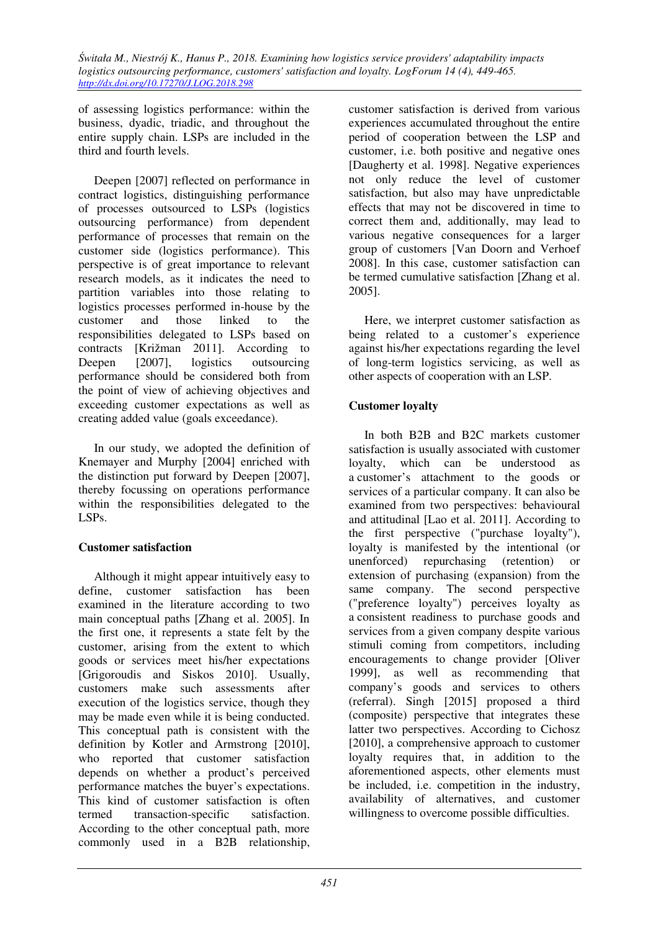of assessing logistics performance: within the business, dyadic, triadic, and throughout the entire supply chain. LSPs are included in the third and fourth levels.

Deepen [2007] reflected on performance in contract logistics, distinguishing performance of processes outsourced to LSPs (logistics outsourcing performance) from dependent performance of processes that remain on the customer side (logistics performance). This perspective is of great importance to relevant research models, as it indicates the need to partition variables into those relating to logistics processes performed in-house by the customer and those linked to the responsibilities delegated to LSPs based on contracts [Križman 2011]. According to Deepen [2007], logistics outsourcing performance should be considered both from the point of view of achieving objectives and exceeding customer expectations as well as creating added value (goals exceedance).

In our study, we adopted the definition of Knemayer and Murphy [2004] enriched with the distinction put forward by Deepen [2007], thereby focussing on operations performance within the responsibilities delegated to the LSPs.

### **Customer satisfaction**

Although it might appear intuitively easy to define, customer satisfaction has been examined in the literature according to two main conceptual paths [Zhang et al. 2005]. In the first one, it represents a state felt by the customer, arising from the extent to which goods or services meet his/her expectations [Grigoroudis and Siskos 2010]. Usually, customers make such assessments after execution of the logistics service, though they may be made even while it is being conducted. This conceptual path is consistent with the definition by Kotler and Armstrong [2010], who reported that customer satisfaction depends on whether a product's perceived performance matches the buyer's expectations. This kind of customer satisfaction is often termed transaction-specific satisfaction. According to the other conceptual path, more commonly used in a B2B relationship,

customer satisfaction is derived from various experiences accumulated throughout the entire period of cooperation between the LSP and customer, i.e. both positive and negative ones [Daugherty et al. 1998]. Negative experiences not only reduce the level of customer satisfaction, but also may have unpredictable effects that may not be discovered in time to correct them and, additionally, may lead to various negative consequences for a larger group of customers [Van Doorn and Verhoef 2008]. In this case, customer satisfaction can be termed cumulative satisfaction [Zhang et al. 2005].

Here, we interpret customer satisfaction as being related to a customer's experience against his/her expectations regarding the level of long-term logistics servicing, as well as other aspects of cooperation with an LSP.

# **Customer loyalty**

In both B2B and B2C markets customer satisfaction is usually associated with customer loyalty, which can be understood as a customer's attachment to the goods or services of a particular company. It can also be examined from two perspectives: behavioural and attitudinal [Lao et al. 2011]. According to the first perspective ("purchase loyalty"), loyalty is manifested by the intentional (or unenforced) repurchasing (retention) or extension of purchasing (expansion) from the same company. The second perspective ("preference loyalty") perceives loyalty as a consistent readiness to purchase goods and services from a given company despite various stimuli coming from competitors, including encouragements to change provider [Oliver 1999], as well as recommending that company's goods and services to others (referral). Singh [2015] proposed a third (composite) perspective that integrates these latter two perspectives. According to Cichosz [2010], a comprehensive approach to customer loyalty requires that, in addition to the aforementioned aspects, other elements must be included, i.e. competition in the industry, availability of alternatives, and customer willingness to overcome possible difficulties.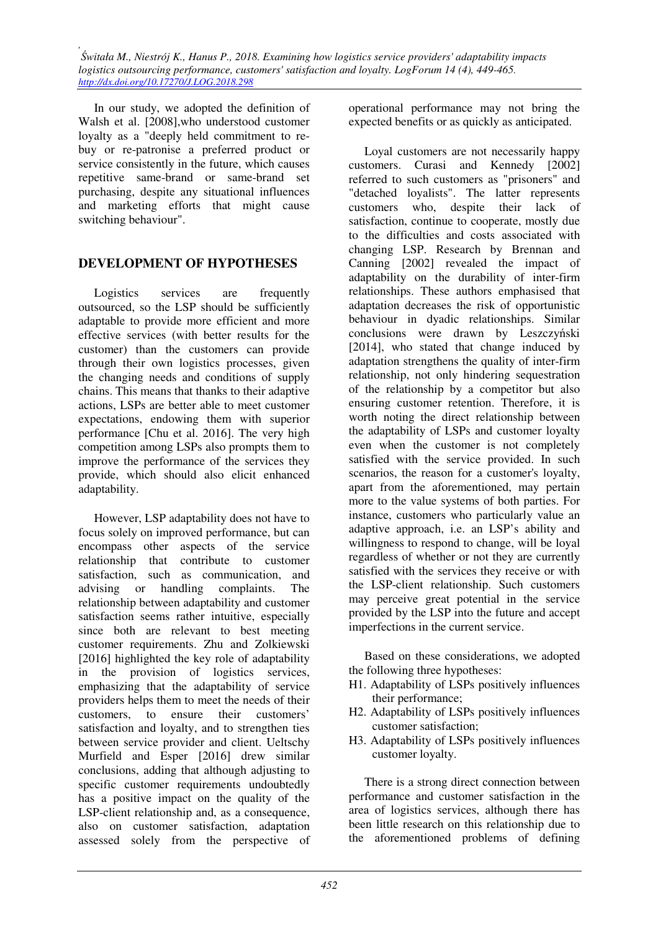In our study, we adopted the definition of Walsh et al. [2008],who understood customer loyalty as a "deeply held commitment to rebuy or re-patronise a preferred product or service consistently in the future, which causes repetitive same-brand or same-brand set purchasing, despite any situational influences and marketing efforts that might cause switching behaviour".

# **DEVELOPMENT OF HYPOTHESES**

Logistics services are frequently outsourced, so the LSP should be sufficiently adaptable to provide more efficient and more effective services (with better results for the customer) than the customers can provide through their own logistics processes, given the changing needs and conditions of supply chains. This means that thanks to their adaptive actions, LSPs are better able to meet customer expectations, endowing them with superior performance [Chu et al. 2016]. The very high competition among LSPs also prompts them to improve the performance of the services they provide, which should also elicit enhanced adaptability.

However, LSP adaptability does not have to focus solely on improved performance, but can encompass other aspects of the service relationship that contribute to customer satisfaction, such as communication, and advising or handling complaints. The relationship between adaptability and customer satisfaction seems rather intuitive, especially since both are relevant to best meeting customer requirements. Zhu and Zolkiewski [2016] highlighted the key role of adaptability in the provision of logistics services, emphasizing that the adaptability of service providers helps them to meet the needs of their customers, to ensure their customers' satisfaction and loyalty, and to strengthen ties between service provider and client. Ueltschy Murfield and Esper [2016] drew similar conclusions, adding that although adjusting to specific customer requirements undoubtedly has a positive impact on the quality of the LSP-client relationship and, as a consequence, also on customer satisfaction, adaptation assessed solely from the perspective of operational performance may not bring the expected benefits or as quickly as anticipated.

Loyal customers are not necessarily happy customers. Curasi and Kennedy [2002] referred to such customers as "prisoners" and "detached loyalists". The latter represents customers who, despite their lack of satisfaction, continue to cooperate, mostly due to the difficulties and costs associated with changing LSP. Research by Brennan and Canning [2002] revealed the impact of adaptability on the durability of inter-firm relationships. These authors emphasised that adaptation decreases the risk of opportunistic behaviour in dyadic relationships. Similar conclusions were drawn by Leszczyński [2014], who stated that change induced by adaptation strengthens the quality of inter-firm relationship, not only hindering sequestration of the relationship by a competitor but also ensuring customer retention. Therefore, it is worth noting the direct relationship between the adaptability of LSPs and customer loyalty even when the customer is not completely satisfied with the service provided. In such scenarios, the reason for a customer's loyalty, apart from the aforementioned, may pertain more to the value systems of both parties. For instance, customers who particularly value an adaptive approach, i.e. an LSP's ability and willingness to respond to change, will be loyal regardless of whether or not they are currently satisfied with the services they receive or with the LSP-client relationship. Such customers may perceive great potential in the service provided by the LSP into the future and accept imperfections in the current service.

Based on these considerations, we adopted the following three hypotheses:

- H1. Adaptability of LSPs positively influences their performance;
- H2. Adaptability of LSPs positively influences customer satisfaction;
- H3. Adaptability of LSPs positively influences customer loyalty.

There is a strong direct connection between performance and customer satisfaction in the area of logistics services, although there has been little research on this relationship due to the aforementioned problems of defining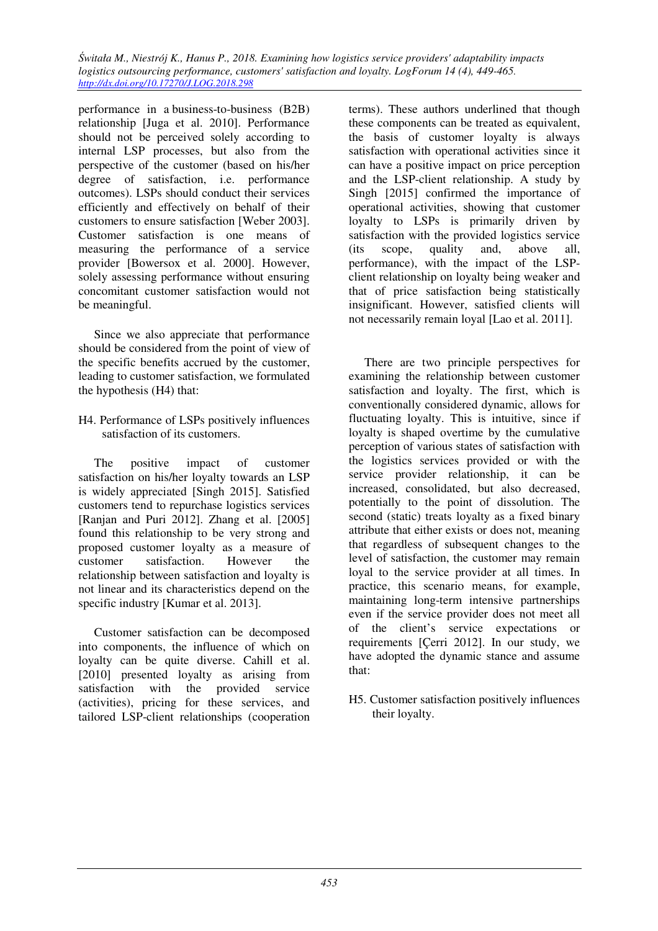performance in a business-to-business (B2B) relationship [Juga et al. 2010]. Performance should not be perceived solely according to internal LSP processes, but also from the perspective of the customer (based on his/her degree of satisfaction, i.e. performance outcomes). LSPs should conduct their services efficiently and effectively on behalf of their customers to ensure satisfaction [Weber 2003]. Customer satisfaction is one means of measuring the performance of a service provider [Bowersox et al. 2000]. However, solely assessing performance without ensuring concomitant customer satisfaction would not be meaningful.

Since we also appreciate that performance should be considered from the point of view of the specific benefits accrued by the customer, leading to customer satisfaction, we formulated the hypothesis (H4) that:

H4. Performance of LSPs positively influences satisfaction of its customers.

The positive impact of customer satisfaction on his/her loyalty towards an LSP is widely appreciated [Singh 2015]. Satisfied customers tend to repurchase logistics services [Ranjan and Puri 2012]. Zhang et al. [2005] found this relationship to be very strong and proposed customer loyalty as a measure of customer satisfaction. However the relationship between satisfaction and loyalty is not linear and its characteristics depend on the specific industry [Kumar et al. 2013].

Customer satisfaction can be decomposed into components, the influence of which on loyalty can be quite diverse. Cahill et al. [2010] presented loyalty as arising from satisfaction with the provided service (activities), pricing for these services, and tailored LSP-client relationships (cooperation

terms). These authors underlined that though these components can be treated as equivalent, the basis of customer loyalty is always satisfaction with operational activities since it can have a positive impact on price perception and the LSP-client relationship. A study by Singh [2015] confirmed the importance of operational activities, showing that customer loyalty to LSPs is primarily driven by satisfaction with the provided logistics service (its scope, quality and, above all, performance), with the impact of the LSPclient relationship on loyalty being weaker and that of price satisfaction being statistically insignificant. However, satisfied clients will not necessarily remain loyal [Lao et al. 2011].

There are two principle perspectives for examining the relationship between customer satisfaction and loyalty. The first, which is conventionally considered dynamic, allows for fluctuating loyalty. This is intuitive, since if loyalty is shaped overtime by the cumulative perception of various states of satisfaction with the logistics services provided or with the service provider relationship, it can be increased, consolidated, but also decreased, potentially to the point of dissolution. The second (static) treats loyalty as a fixed binary attribute that either exists or does not, meaning that regardless of subsequent changes to the level of satisfaction, the customer may remain loyal to the service provider at all times. In practice, this scenario means, for example, maintaining long-term intensive partnerships even if the service provider does not meet all of the client's service expectations or requirements [Çerri 2012]. In our study, we have adopted the dynamic stance and assume that:

H5. Customer satisfaction positively influences their loyalty.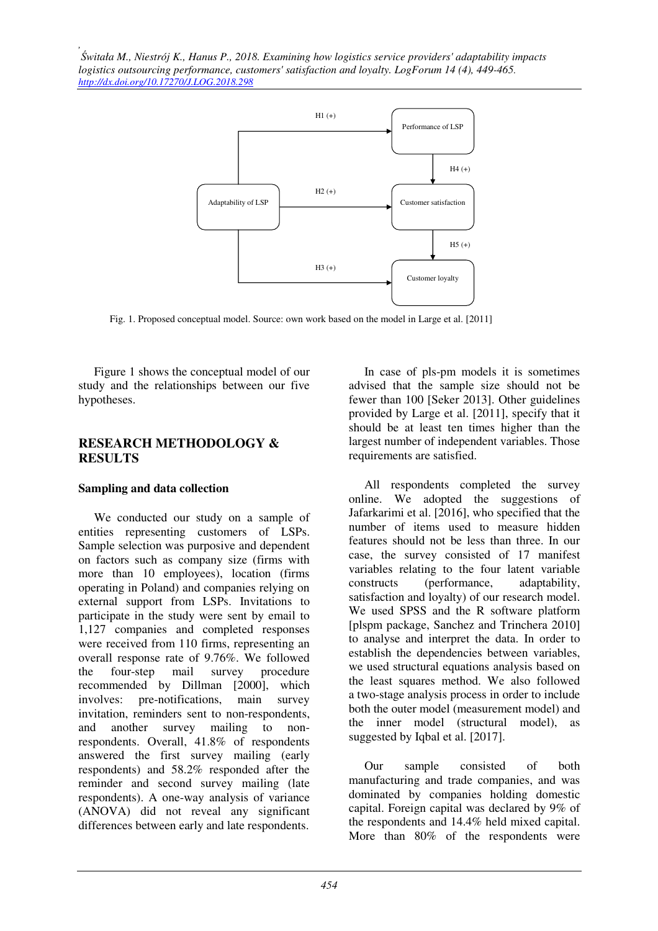

Fig. 1. Proposed conceptual model. Source: own work based on the model in Large et al. [2011]

Figure 1 shows the conceptual model of our study and the relationships between our five hypotheses.

### **RESEARCH METHODOLOGY & RESULTS**

### **Sampling and data collection**

We conducted our study on a sample of entities representing customers of LSPs. Sample selection was purposive and dependent on factors such as company size (firms with more than 10 employees), location (firms operating in Poland) and companies relying on external support from LSPs. Invitations to participate in the study were sent by email to 1,127 companies and completed responses were received from 110 firms, representing an overall response rate of 9.76%. We followed<br>the four-step mail survey procedure the four-step mail survey procedure recommended by Dillman [2000], which involves: pre-notifications, main survey invitation, reminders sent to non-respondents, and another survey mailing to nonrespondents. Overall, 41.8% of respondents answered the first survey mailing (early respondents) and 58.2% responded after the reminder and second survey mailing (late respondents). A one-way analysis of variance (ANOVA) did not reveal any significant differences between early and late respondents.

In case of pls-pm models it is sometimes advised that the sample size should not be fewer than 100 [Seker 2013]. Other guidelines provided by Large et al. [2011], specify that it should be at least ten times higher than the largest number of independent variables. Those requirements are satisfied.

All respondents completed the survey online. We adopted the suggestions of Jafarkarimi et al. [2016], who specified that the number of items used to measure hidden features should not be less than three. In our case, the survey consisted of 17 manifest variables relating to the four latent variable constructs (performance, adaptability, satisfaction and loyalty) of our research model. We used SPSS and the R software platform [plspm package, Sanchez and Trinchera 2010] to analyse and interpret the data. In order to establish the dependencies between variables, we used structural equations analysis based on the least squares method. We also followed a two-stage analysis process in order to include both the outer model (measurement model) and the inner model (structural model), as suggested by Iqbal et al. [2017].

Our sample consisted of both manufacturing and trade companies, and was dominated by companies holding domestic capital. Foreign capital was declared by 9% of the respondents and 14.4% held mixed capital. More than 80% of the respondents were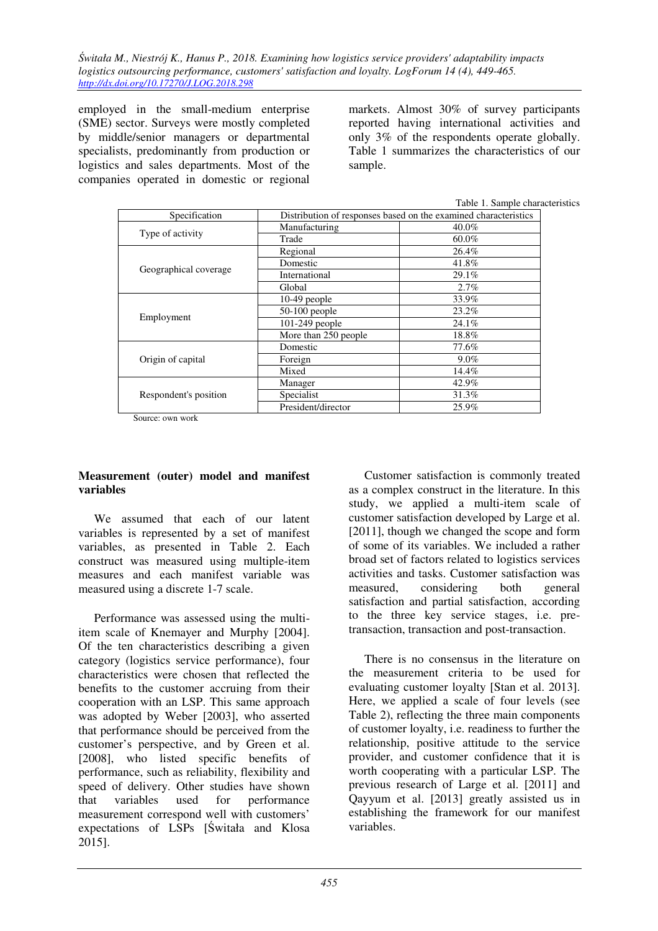employed in the small-medium enterprise (SME) sector. Surveys were mostly completed by middle/senior managers or departmental specialists, predominantly from production or logistics and sales departments. Most of the companies operated in domestic or regional markets. Almost 30% of survey participants reported having international activities and only 3% of the respondents operate globally. Table 1 summarizes the characteristics of our sample.

|  | Table 1. Sample characteristics |
|--|---------------------------------|
|  |                                 |

| Specification         | Distribution of responses based on the examined characteristics |         |  |
|-----------------------|-----------------------------------------------------------------|---------|--|
|                       | Manufacturing                                                   | 40.0%   |  |
| Type of activity      | Trade                                                           | 60.0%   |  |
|                       | Regional                                                        | 26.4%   |  |
| Geographical coverage | Domestic                                                        | 41.8%   |  |
|                       | International                                                   | 29.1%   |  |
|                       | Global                                                          | 2.7%    |  |
|                       | $10-49$ people                                                  | 33.9%   |  |
| Employment            | 50-100 people                                                   | 23.2%   |  |
|                       | 101-249 people                                                  | 24.1%   |  |
|                       | More than 250 people                                            | 18.8%   |  |
|                       | Domestic                                                        | 77.6%   |  |
| Origin of capital     | Foreign                                                         | $9.0\%$ |  |
|                       | Mixed                                                           | 14.4%   |  |
|                       | Manager                                                         | 42.9%   |  |
| Respondent's position | Specialist                                                      | 31.3%   |  |
|                       | President/director                                              | 25.9%   |  |

Source: own work

### **Measurement (outer) model and manifest variables**

We assumed that each of our latent variables is represented by a set of manifest variables, as presented in Table 2. Each construct was measured using multiple-item measures and each manifest variable was measured using a discrete 1-7 scale.

Performance was assessed using the multiitem scale of Knemayer and Murphy [2004]. Of the ten characteristics describing a given category (logistics service performance), four characteristics were chosen that reflected the benefits to the customer accruing from their cooperation with an LSP. This same approach was adopted by Weber [2003], who asserted that performance should be perceived from the customer's perspective, and by Green et al. [2008], who listed specific benefits of performance, such as reliability, flexibility and speed of delivery. Other studies have shown that variables used for performance measurement correspond well with customers' expectations of LSPs [Świtała and Klosa 2015].

Customer satisfaction is commonly treated as a complex construct in the literature. In this study, we applied a multi-item scale of customer satisfaction developed by Large et al. [2011], though we changed the scope and form of some of its variables. We included a rather broad set of factors related to logistics services activities and tasks. Customer satisfaction was measured, considering both general satisfaction and partial satisfaction, according to the three key service stages, i.e. pretransaction, transaction and post-transaction.

There is no consensus in the literature on the measurement criteria to be used for evaluating customer loyalty [Stan et al. 2013]. Here, we applied a scale of four levels (see Table 2), reflecting the three main components of customer loyalty, i.e. readiness to further the relationship, positive attitude to the service provider, and customer confidence that it is worth cooperating with a particular LSP. The previous research of Large et al. [2011] and Qayyum et al. [2013] greatly assisted us in establishing the framework for our manifest variables.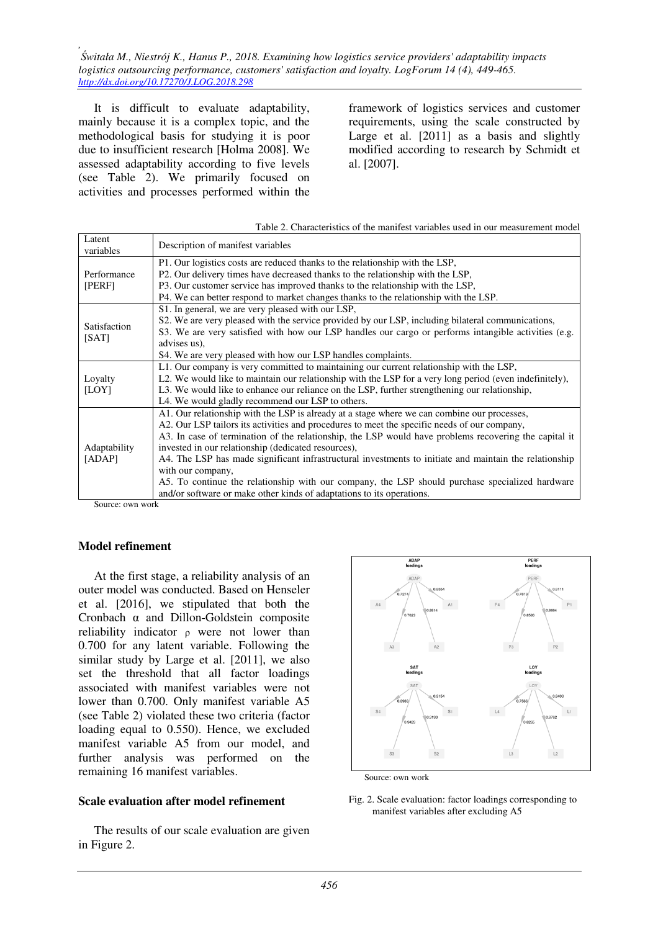It is difficult to evaluate adaptability, mainly because it is a complex topic, and the methodological basis for studying it is poor due to insufficient research [Holma 2008]. We assessed adaptability according to five levels (see Table 2). We primarily focused on activities and processes performed within the

framework of logistics services and customer requirements, using the scale constructed by Large et al. [2011] as a basis and slightly modified according to research by Schmidt et al. [2007].

|                                                                               | Table 2. Characteristics of the manifest variables used in our measurement model                        |
|-------------------------------------------------------------------------------|---------------------------------------------------------------------------------------------------------|
| Latent<br>variables                                                           | Description of manifest variables                                                                       |
|                                                                               | P1. Our logistics costs are reduced thanks to the relationship with the LSP,                            |
| Performance                                                                   | P2. Our delivery times have decreased thanks to the relationship with the LSP,                          |
| [PERF]                                                                        | P3. Our customer service has improved thanks to the relationship with the LSP,                          |
|                                                                               | P4. We can better respond to market changes thanks to the relationship with the LSP.                    |
|                                                                               | S1. In general, we are very pleased with our LSP,                                                       |
| Satisfaction                                                                  | S2. We are very pleased with the service provided by our LSP, including bilateral communications,       |
| [SAT]                                                                         | S3. We are very satisfied with how our LSP handles our cargo or performs intangible activities (e.g.    |
|                                                                               | advises us),                                                                                            |
|                                                                               | S4. We are very pleased with how our LSP handles complaints.                                            |
|                                                                               | L1. Our company is very committed to maintaining our current relationship with the LSP,                 |
| Loyalty                                                                       | L2. We would like to maintain our relationship with the LSP for a very long period (even indefinitely), |
| [LOY]                                                                         | L3. We would like to enhance our reliance on the LSP, further strengthening our relationship,           |
|                                                                               | L4. We would gladly recommend our LSP to others.                                                        |
|                                                                               | A1. Our relationship with the LSP is already at a stage where we can combine our processes,             |
|                                                                               | A2. Our LSP tailors its activities and procedures to meet the specific needs of our company,            |
|                                                                               | A3. In case of termination of the relationship, the LSP would have problems recovering the capital it   |
| Adaptability                                                                  | invested in our relationship (dedicated resources),                                                     |
| [ADAP]                                                                        | A4. The LSP has made significant infrastructural investments to initiate and maintain the relationship  |
|                                                                               | with our company,                                                                                       |
|                                                                               | A5. To continue the relationship with our company, the LSP should purchase specialized hardware         |
|                                                                               | and/or software or make other kinds of adaptations to its operations.                                   |
| $\mathcal{C}_{\text{out}}$ $\alpha$ $\alpha$ $\beta$ $\alpha$ $\beta$ $\beta$ |                                                                                                         |

#### Source: own work

#### **Model refinement**

At the first stage, a reliability analysis of an outer model was conducted. Based on Henseler et al. [2016], we stipulated that both the Cronbach α and Dillon-Goldstein composite reliability indicator ρ were not lower than 0.700 for any latent variable. Following the similar study by Large et al. [2011], we also set the threshold that all factor loadings associated with manifest variables were not lower than 0.700. Only manifest variable A5 (see Table 2) violated these two criteria (factor loading equal to 0.550). Hence, we excluded manifest variable A5 from our model, and further analysis was performed on the remaining 16 manifest variables.

#### **Scale evaluation after model refinement**

The results of our scale evaluation are given in Figure 2.





Fig. 2. Scale evaluation: factor loadings corresponding to manifest variables after excluding A5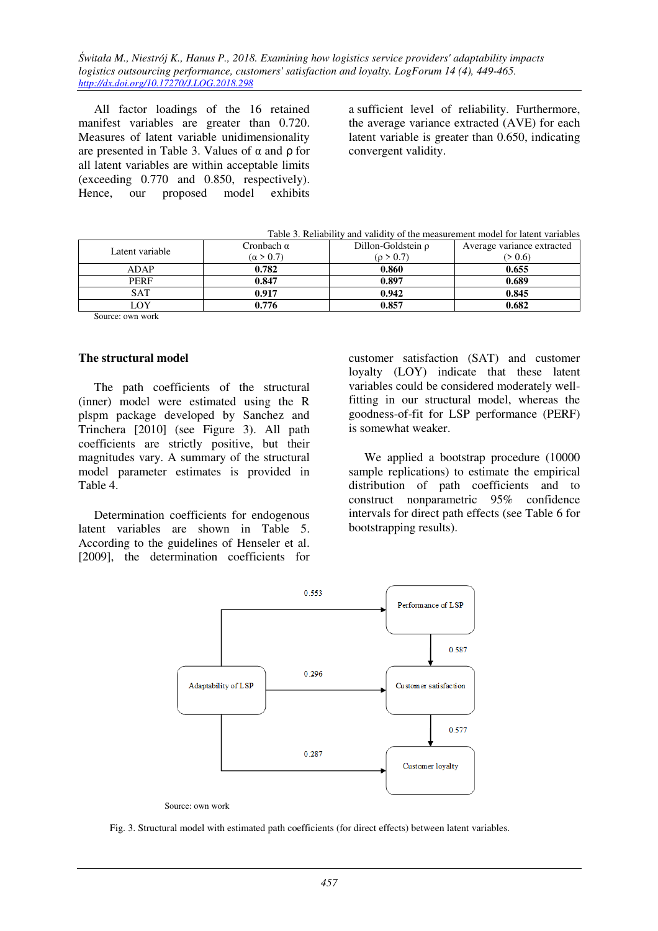All factor loadings of the 16 retained manifest variables are greater than 0.720. Measures of latent variable unidimensionality are presented in Table 3. Values of α and ρ for all latent variables are within acceptable limits (exceeding 0.770 and 0.850, respectively). Hence, our proposed model exhibits

a sufficient level of reliability. Furthermore, the average variance extracted (AVE) for each latent variable is greater than 0.650, indicating convergent validity.

|  | Table 3. Reliability and validity of the measurement model for latent variables |
|--|---------------------------------------------------------------------------------|
|  |                                                                                 |

| Latent variable | Cronbach α<br>$(\alpha > 0.7)$ | Dillon-Goldstein $\rho$<br>(p > 0.7) | Average variance extracted<br>(> 0.6) |
|-----------------|--------------------------------|--------------------------------------|---------------------------------------|
| ADAP            | 0.782                          | 0.860                                | 0.655                                 |
| <b>PERF</b>     | 0.847                          | 0.897                                | 0.689                                 |
| SAT             | 0.917                          | 0.942                                | 0.845                                 |
| LOY             | 0.776                          | 0.857                                | 0.682                                 |
| $\sim$          |                                |                                      |                                       |

Source: own work

### **The structural model**

The path coefficients of the structural (inner) model were estimated using the R plspm package developed by Sanchez and Trinchera [2010] (see Figure 3). All path coefficients are strictly positive, but their magnitudes vary. A summary of the structural model parameter estimates is provided in Table 4.

Determination coefficients for endogenous latent variables are shown in Table 5. According to the guidelines of Henseler et al. [2009], the determination coefficients for

customer satisfaction (SAT) and customer loyalty (LOY) indicate that these latent variables could be considered moderately wellfitting in our structural model, whereas the goodness-of-fit for LSP performance (PERF) is somewhat weaker.

We applied a bootstrap procedure (10000 sample replications) to estimate the empirical distribution of path coefficients and to construct nonparametric 95% confidence intervals for direct path effects (see Table 6 for bootstrapping results).



Source: own work

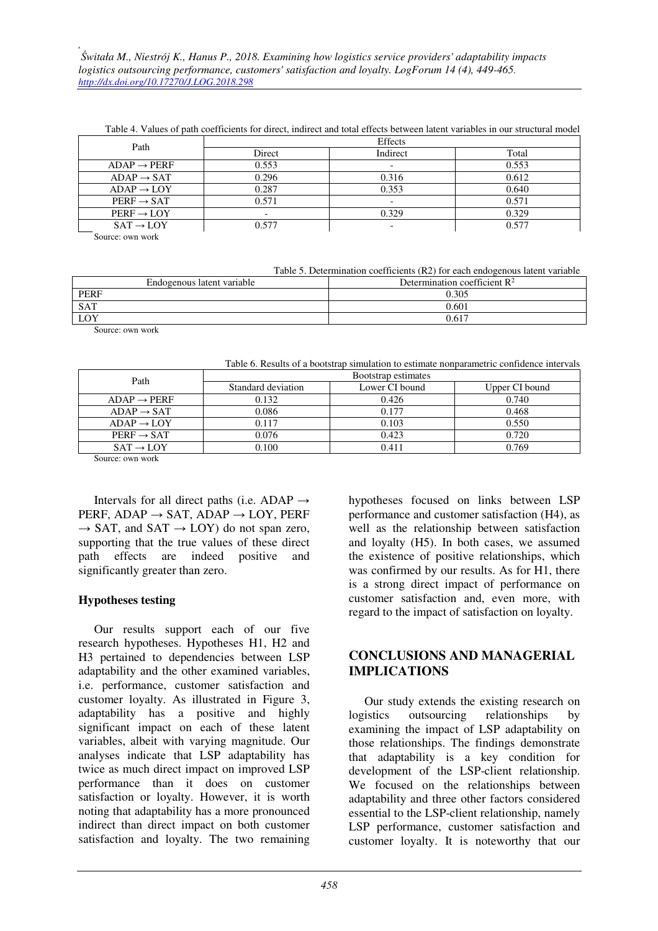| Path                    | Effects |                          |       |
|-------------------------|---------|--------------------------|-------|
|                         | Direct  | Indirect                 | Total |
| $ADAP \rightarrow PERF$ | 0.553   | $\overline{\phantom{0}}$ | 0.553 |
| $ADAP \rightarrow SAT$  | 0.296   | 0.316                    | 0.612 |
| $ADAP \rightarrow LOY$  | 0.287   | 0.353                    | 0.640 |
| $PERF \rightarrow SAT$  | 0.571   | $\overline{\phantom{a}}$ | 0.571 |
| $PERF \rightarrow LOY$  |         | 0.329                    | 0.329 |
| $SAT \rightarrow LOY$   | 0.577   | $\overline{\phantom{a}}$ | 0.577 |
| Common common and       |         |                          |       |

Table 4. Values of path coefficients for direct, indirect and total effects between latent variables in our structural model

Source: own work

Table 5. Determination coefficients (R2) for each endogenous latent variable

| Endogenous latent variable | Determination coefficient $\mathbb{R}^2$ |  |
|----------------------------|------------------------------------------|--|
| <b>PERF</b>                | 0.305                                    |  |
| SAT                        | 0.601                                    |  |
| LOY                        | $0.61^{-}$                               |  |

Source: own work

Table 6. Results of a bootstrap simulation to estimate nonparametric confidence intervals

| Path                    | Bootstrap estimates |                |                |
|-------------------------|---------------------|----------------|----------------|
|                         | Standard deviation  | Lower CI bound | Upper CI bound |
| $ADAP \rightarrow PERF$ | 0.132               | 0.426          | 0.740          |
| $ADAP \rightarrow SAT$  | 0.086               | 0.177          | 0.468          |
| $ADAP \rightarrow LOY$  | 0.117               | 0.103          | 0.550          |
| $PERF \rightarrow SAT$  | 0.076               | 0.423          | 0.720          |
| $SAT \rightarrow LOY$   | 0.100               | 0.411          | 0.769          |

Source: own work

Intervals for all direct paths (i.e. ADAP  $\rightarrow$ PERF, ADAP  $\rightarrow$  SAT, ADAP  $\rightarrow$  LOY, PERF  $\rightarrow$  SAT, and SAT  $\rightarrow$  LOY) do not span zero, supporting that the true values of these direct path effects are indeed positive and significantly greater than zero.

### **Hypotheses testing**

Our results support each of our five research hypotheses. Hypotheses H1, H2 and H3 pertained to dependencies between LSP adaptability and the other examined variables, i.e. performance, customer satisfaction and customer loyalty. As illustrated in Figure 3, adaptability has a positive and highly significant impact on each of these latent variables, albeit with varying magnitude. Our analyses indicate that LSP adaptability has twice as much direct impact on improved LSP performance than it does on customer satisfaction or loyalty. However, it is worth noting that adaptability has a more pronounced indirect than direct impact on both customer satisfaction and loyalty. The two remaining

hypotheses focused on links between LSP performance and customer satisfaction (H4), as well as the relationship between satisfaction and loyalty (H5). In both cases, we assumed the existence of positive relationships, which was confirmed by our results. As for H1, there is a strong direct impact of performance on customer satisfaction and, even more, with regard to the impact of satisfaction on loyalty.

### **CONCLUSIONS AND MANAGERIAL IMPLICATIONS**

Our study extends the existing research on logistics outsourcing relationships by examining the impact of LSP adaptability on those relationships. The findings demonstrate that adaptability is a key condition for development of the LSP-client relationship. We focused on the relationships between adaptability and three other factors considered essential to the LSP-client relationship, namely LSP performance, customer satisfaction and customer loyalty. It is noteworthy that our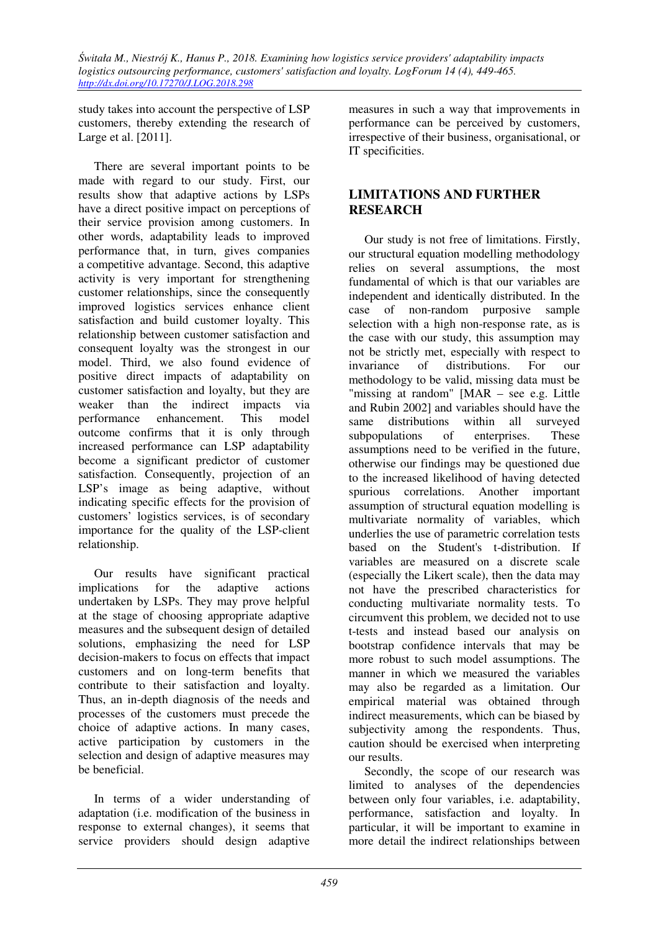study takes into account the perspective of LSP customers, thereby extending the research of Large et al. [2011].

There are several important points to be made with regard to our study. First, our results show that adaptive actions by LSPs have a direct positive impact on perceptions of their service provision among customers. In other words, adaptability leads to improved performance that, in turn, gives companies a competitive advantage. Second, this adaptive activity is very important for strengthening customer relationships, since the consequently improved logistics services enhance client satisfaction and build customer loyalty. This relationship between customer satisfaction and consequent loyalty was the strongest in our model. Third, we also found evidence of positive direct impacts of adaptability on customer satisfaction and loyalty, but they are weaker than the indirect impacts via performance enhancement. This model outcome confirms that it is only through increased performance can LSP adaptability become a significant predictor of customer satisfaction. Consequently, projection of an LSP's image as being adaptive, without indicating specific effects for the provision of customers' logistics services, is of secondary importance for the quality of the LSP-client relationship.

Our results have significant practical implications for the adaptive actions undertaken by LSPs. They may prove helpful at the stage of choosing appropriate adaptive measures and the subsequent design of detailed solutions, emphasizing the need for LSP decision-makers to focus on effects that impact customers and on long-term benefits that contribute to their satisfaction and loyalty. Thus, an in-depth diagnosis of the needs and processes of the customers must precede the choice of adaptive actions. In many cases, active participation by customers in the selection and design of adaptive measures may be beneficial.

In terms of a wider understanding of adaptation (i.e. modification of the business in response to external changes), it seems that service providers should design adaptive

measures in such a way that improvements in performance can be perceived by customers, irrespective of their business, organisational, or IT specificities.

## **LIMITATIONS AND FURTHER RESEARCH**

Our study is not free of limitations. Firstly, our structural equation modelling methodology relies on several assumptions, the most fundamental of which is that our variables are independent and identically distributed. In the case of non-random purposive sample selection with a high non-response rate, as is the case with our study, this assumption may not be strictly met, especially with respect to invariance of distributions. For our methodology to be valid, missing data must be "missing at random" [MAR – see e.g. Little and Rubin 2002] and variables should have the same distributions within all surveyed subpopulations of enterprises. These assumptions need to be verified in the future, otherwise our findings may be questioned due to the increased likelihood of having detected spurious correlations. Another important assumption of structural equation modelling is multivariate normality of variables, which underlies the use of parametric correlation tests based on the Student's t-distribution. If variables are measured on a discrete scale (especially the Likert scale), then the data may not have the prescribed characteristics for conducting multivariate normality tests. To circumvent this problem, we decided not to use t-tests and instead based our analysis on bootstrap confidence intervals that may be more robust to such model assumptions. The manner in which we measured the variables may also be regarded as a limitation. Our empirical material was obtained through indirect measurements, which can be biased by subjectivity among the respondents. Thus, caution should be exercised when interpreting our results.

Secondly, the scope of our research was limited to analyses of the dependencies between only four variables, i.e. adaptability, performance, satisfaction and loyalty. In particular, it will be important to examine in more detail the indirect relationships between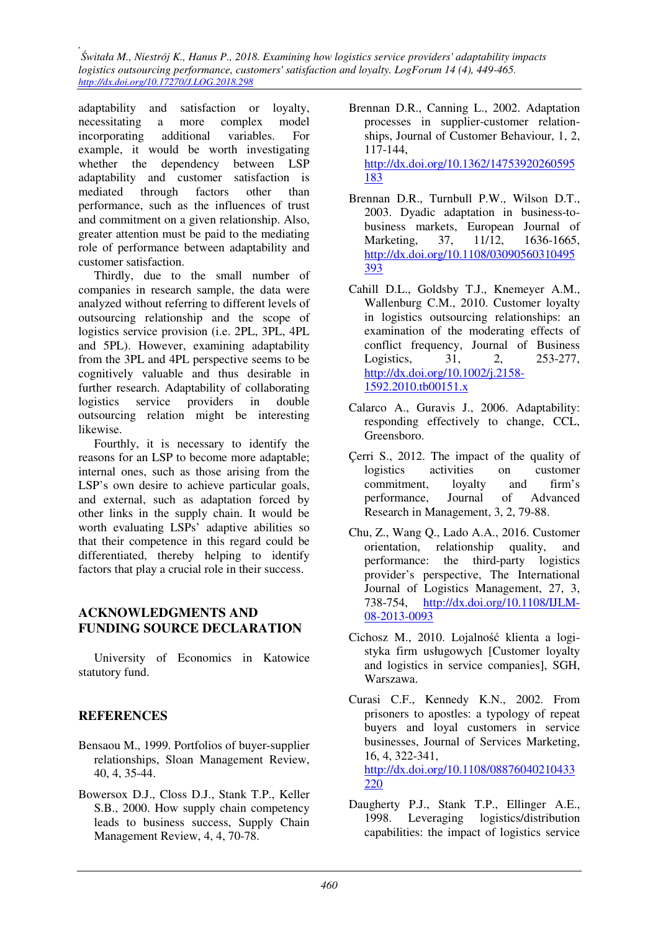adaptability and satisfaction or loyalty, necessitating a more complex model incorporating additional variables. For example, it would be worth investigating whether the dependency between LSP adaptability and customer satisfaction is mediated through factors other than performance, such as the influences of trust and commitment on a given relationship. Also, greater attention must be paid to the mediating role of performance between adaptability and customer satisfaction.

Thirdly, due to the small number of companies in research sample, the data were analyzed without referring to different levels of outsourcing relationship and the scope of logistics service provision (i.e. 2PL, 3PL, 4PL and 5PL). However, examining adaptability from the 3PL and 4PL perspective seems to be cognitively valuable and thus desirable in further research. Adaptability of collaborating logistics service providers in double outsourcing relation might be interesting likewise.

Fourthly, it is necessary to identify the reasons for an LSP to become more adaptable; internal ones, such as those arising from the LSP's own desire to achieve particular goals, and external, such as adaptation forced by other links in the supply chain. It would be worth evaluating LSPs' adaptive abilities so that their competence in this regard could be differentiated, thereby helping to identify factors that play a crucial role in their success.

### **ACKNOWLEDGMENTS AND FUNDING SOURCE DECLARATION**

University of Economics in Katowice statutory fund.

# **REFERENCES**

- Bensaou M., 1999. Portfolios of buyer-supplier relationships, Sloan Management Review, 40, 4, 35-44.
- Bowersox D.J., Closs D.J., Stank T.P., Keller S.B., 2000. How supply chain competency leads to business success, Supply Chain Management Review, 4, 4, 70-78.
- Brennan D.R., Canning L., 2002. Adaptation processes in supplier-customer relationships, Journal of Customer Behaviour, 1, 2, 117-144, http://dx.doi.org/10.1362/14753920260595 183
- Brennan D.R., Turnbull P.W., Wilson D.T., 2003. Dyadic adaptation in business-tobusiness markets, European Journal of Marketing, 37, 11/12, 1636-1665, http://dx.doi.org/10.1108/03090560310495 393
- Cahill D.L., Goldsby T.J., Knemeyer A.M., Wallenburg C.M., 2010. Customer loyalty in logistics outsourcing relationships: an examination of the moderating effects of conflict frequency, Journal of Business Logistics, 31, 2, 253-277, http://dx.doi.org/10.1002/j.2158- 1592.2010.tb00151.x
- Calarco A., Guravis J., 2006. Adaptability: responding effectively to change, CCL, Greensboro.
- Çerri S., 2012. The impact of the quality of logistics activities on customer commitment, loyalty and firm's performance, Journal of Advanced Research in Management, 3, 2, 79-88.
- Chu, Z., Wang Q., Lado A.A., 2016. Customer orientation, relationship quality, and performance: the third-party logistics provider's perspective, The International Journal of Logistics Management, 27, 3, 738-754, http://dx.doi.org/10.1108/IJLM-08-2013-0093
- Cichosz M., 2010. Lojalność klienta a logistyka firm usługowych [Customer loyalty and logistics in service companies], SGH, Warszawa.
- Curasi C.F., Kennedy K.N., 2002. From prisoners to apostles: a typology of repeat buyers and loyal customers in service businesses, Journal of Services Marketing, 16, 4, 322-341, http://dx.doi.org/10.1108/08876040210433 220
- Daugherty P.J., Stank T.P., Ellinger A.E., 1998. Leveraging logistics/distribution capabilities: the impact of logistics service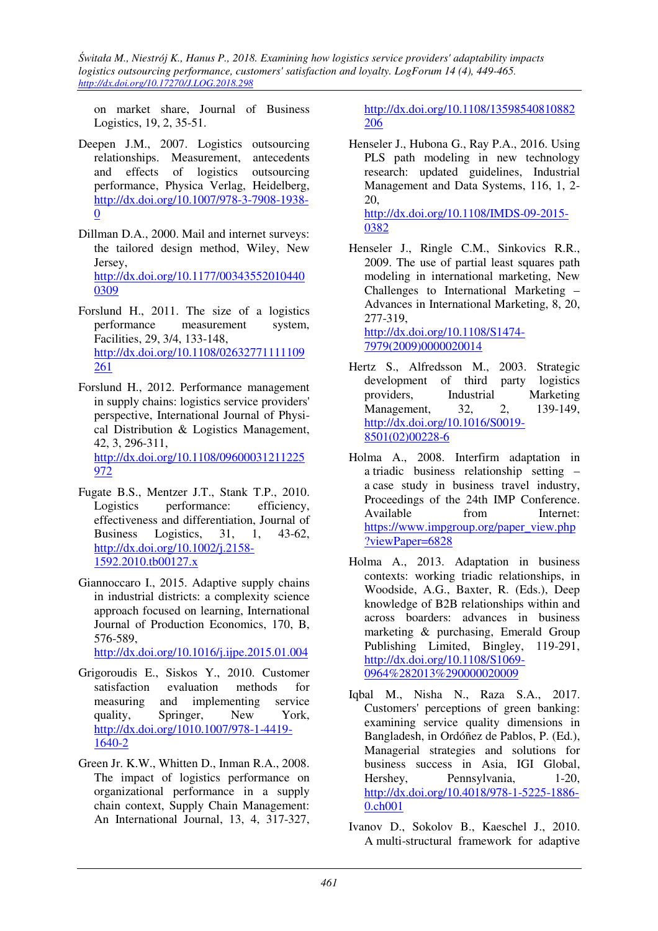on market share, Journal of Business Logistics, 19, 2, 35-51.

- Deepen J.M., 2007. Logistics outsourcing relationships. Measurement, antecedents and effects of logistics outsourcing performance, Physica Verlag, Heidelberg, http://dx.doi.org/10.1007/978-3-7908-1938- 0
- Dillman D.A., 2000. Mail and internet surveys: the tailored design method, Wiley, New Jersey, http://dx.doi.org/10.1177/00343552010440 0309
- Forslund H., 2011. The size of a logistics performance measurement system, Facilities, 29, 3/4, 133-148, http://dx.doi.org/10.1108/02632771111109 261
- Forslund H., 2012. Performance management in supply chains: logistics service providers' perspective, International Journal of Physical Distribution & Logistics Management, 42, 3, 296-311, http://dx.doi.org/10.1108/09600031211225 972
- Fugate B.S., Mentzer J.T., Stank T.P., 2010. Logistics performance: efficiency, effectiveness and differentiation, Journal of Business Logistics, 31, 1, 43-62, http://dx.doi.org/10.1002/j.2158- 1592.2010.tb00127.x
- Giannoccaro I., 2015. Adaptive supply chains in industrial districts: a complexity science approach focused on learning, International Journal of Production Economics, 170, B, 576-589,

http://dx.doi.org/10.1016/j.ijpe.2015.01.004

- Grigoroudis E., Siskos Y., 2010. Customer satisfaction evaluation methods for measuring and implementing service quality, Springer, New York, http://dx.doi.org/1010.1007/978-1-4419- 1640-2
- Green Jr. K.W., Whitten D., Inman R.A., 2008. The impact of logistics performance on organizational performance in a supply chain context, Supply Chain Management: An International Journal, 13, 4, 317-327,

http://dx.doi.org/10.1108/13598540810882 206

- Henseler J., Hubona G., Ray P.A., 2016. Using PLS path modeling in new technology research: updated guidelines, Industrial Management and Data Systems, 116, 1, 2- 20, http://dx.doi.org/10.1108/IMDS-09-2015- 0382
- Henseler J., Ringle C.M., Sinkovics R.R., 2009. The use of partial least squares path modeling in international marketing, New Challenges to International Marketing – Advances in International Marketing, 8, 20, 277-319, http://dx.doi.org/10.1108/S1474-

7979(2009)0000020014

- Hertz S., Alfredsson M., 2003. Strategic development of third party logistics providers, Industrial Marketing Management, 32, 2, 139-149, http://dx.doi.org/10.1016/S0019- 8501(02)00228-6
- Holma A., 2008. Interfirm adaptation in a triadic business relationship setting – a case study in business travel industry, Proceedings of the 24th IMP Conference. Available from Internet: https://www.impgroup.org/paper\_view.php ?viewPaper=6828
- Holma A., 2013. Adaptation in business contexts: working triadic relationships, in Woodside, A.G., Baxter, R. (Eds.), Deep knowledge of B2B relationships within and across boarders: advances in business marketing & purchasing, Emerald Group Publishing Limited, Bingley, 119-291, http://dx.doi.org/10.1108/S1069- 0964%282013%290000020009
- Iqbal M., Nisha N., Raza S.A., 2017. Customers' perceptions of green banking: examining service quality dimensions in Bangladesh, in Ordóñez de Pablos, P. (Ed.), Managerial strategies and solutions for business success in Asia, IGI Global, Hershey, Pennsylvania, 1-20, http://dx.doi.org/10.4018/978-1-5225-1886- 0.ch001
- Ivanov D., Sokolov B., Kaeschel J., 2010. A multi-structural framework for adaptive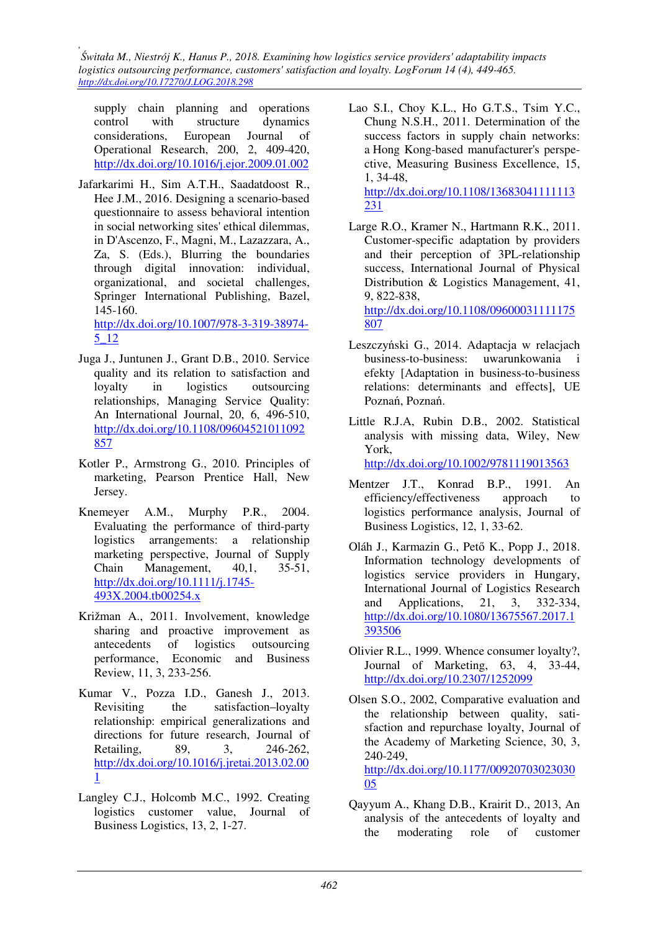supply chain planning and operations control with structure dynamics considerations, European Journal of Operational Research, 200, 2, 409-420, http://dx.doi.org/10.1016/j.ejor.2009.01.002

Jafarkarimi H., Sim A.T.H., Saadatdoost R., Hee J.M., 2016. Designing a scenario-based questionnaire to assess behavioral intention in social networking sites' ethical dilemmas, in D'Ascenzo, F., Magni, M., Lazazzara, A., Za, S. (Eds.), Blurring the boundaries through digital innovation: individual, organizational, and societal challenges, Springer International Publishing, Bazel, 145-160.

http://dx.doi.org/10.1007/978-3-319-38974- 5\_12

- Juga J., Juntunen J., Grant D.B., 2010. Service quality and its relation to satisfaction and loyalty in logistics outsourcing relationships, Managing Service Quality: An International Journal, 20, 6, 496-510, http://dx.doi.org/10.1108/09604521011092 857
- Kotler P., Armstrong G., 2010. Principles of marketing, Pearson Prentice Hall, New Jersey.
- Knemeyer A.M., Murphy P.R., 2004. Evaluating the performance of third-party logistics arrangements: a relationship marketing perspective, Journal of Supply Chain Management, 40,1, 35-51, http://dx.doi.org/10.1111/j.1745- 493X.2004.tb00254.x
- Križman A., 2011. Involvement, knowledge sharing and proactive improvement as antecedents of logistics outsourcing performance, Economic and Business Review, 11, 3, 233-256.
- Kumar V., Pozza I.D., Ganesh J., 2013. Revisiting the satisfaction–loyalty relationship: empirical generalizations and directions for future research, Journal of Retailing, 89, 3, 246-262, http://dx.doi.org/10.1016/j.jretai.2013.02.00 1
- Langley C.J., Holcomb M.C., 1992. Creating logistics customer value, Journal of Business Logistics, 13, 2, 1-27.
- Lao S.I., Choy K.L., Ho G.T.S., Tsim Y.C., Chung N.S.H., 2011. Determination of the success factors in supply chain networks: a Hong Kong-based manufacturer's perspective, Measuring Business Excellence, 15, 1, 34-48, http://dx.doi.org/10.1108/13683041111113  $231$
- Large R.O., Kramer N., Hartmann R.K., 2011. Customer-specific adaptation by providers and their perception of 3PL-relationship success, International Journal of Physical Distribution & Logistics Management, 41, 9, 822-838, http://dx.doi.org/10.1108/09600031111175

807

- Leszczyński G., 2014. Adaptacja w relacjach business-to-business: uwarunkowania i efekty [Adaptation in business-to-business relations: determinants and effects], UE Poznań, Poznań.
- Little R.J.A, Rubin D.B., 2002. Statistical analysis with missing data, Wiley, New York,

http://dx.doi.org/10.1002/9781119013563

- Mentzer J.T., Konrad B.P., 1991. An efficiency/effectiveness approach to logistics performance analysis, Journal of Business Logistics, 12, 1, 33-62.
- Oláh J., Karmazin G., Pető K., Popp J., 2018. Information technology developments of logistics service providers in Hungary, International Journal of Logistics Research and Applications, 21, 3, 332-334, http://dx.doi.org/10.1080/13675567.2017.1 393506
- Olivier R.L., 1999. Whence consumer loyalty?, Journal of Marketing, 63, 4, 33-44, http://dx.doi.org/10.2307/1252099
- Olsen S.O., 2002, Comparative evaluation and the relationship between quality, satisfaction and repurchase loyalty, Journal of the Academy of Marketing Science, 30, 3, 240-249, http://dx.doi.org/10.1177/00920703023030 05
- Qayyum A., Khang D.B., Krairit D., 2013, An analysis of the antecedents of loyalty and the moderating role of customer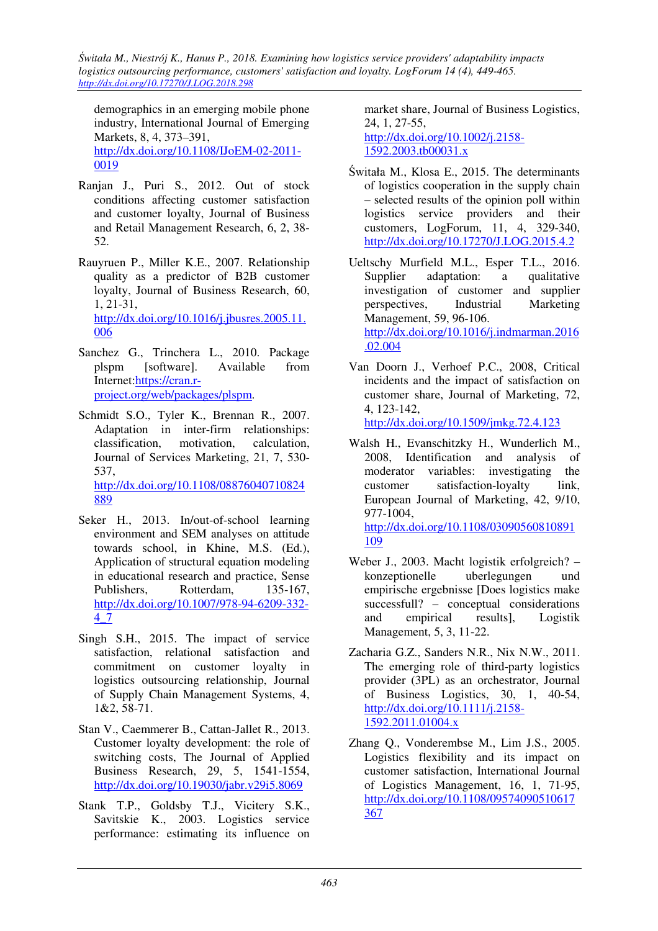demographics in an emerging mobile phone industry, International Journal of Emerging Markets, 8, 4, 373–391, http://dx.doi.org/10.1108/IJoEM-02-2011- 0019

- Ranjan J., Puri S., 2012. Out of stock conditions affecting customer satisfaction and customer loyalty, Journal of Business and Retail Management Research, 6, 2, 38- 52.
- Rauyruen P., Miller K.E., 2007. Relationship quality as a predictor of B2B customer loyalty, Journal of Business Research, 60, 1, 21-31, http://dx.doi.org/10.1016/j.jbusres.2005.11. 006
- Sanchez G., Trinchera L., 2010. Package plspm [software]. Available from Internet:https://cran.rproject.org/web/packages/plspm.
- Schmidt S.O., Tyler K., Brennan R., 2007. Adaptation in inter-firm relationships: classification, motivation, calculation, Journal of Services Marketing, 21, 7, 530- 537, http://dx.doi.org/10.1108/08876040710824 889
- Seker H., 2013. In/out-of-school learning environment and SEM analyses on attitude towards school, in Khine, M.S. (Ed.), Application of structural equation modeling in educational research and practice, Sense Publishers, Rotterdam, 135-167, http://dx.doi.org/10.1007/978-94-6209-332- 4\_7
- Singh S.H., 2015. The impact of service satisfaction, relational satisfaction and commitment on customer loyalty in logistics outsourcing relationship, Journal of Supply Chain Management Systems, 4, 1&2, 58-71.
- Stan V., Caemmerer B., Cattan-Jallet R., 2013. Customer loyalty development: the role of switching costs, The Journal of Applied Business Research, 29, 5, 1541-1554, http://dx.doi.org/10.19030/jabr.v29i5.8069
- Stank T.P., Goldsby T.J., Vicitery S.K., Savitskie K., 2003. Logistics service performance: estimating its influence on

market share, Journal of Business Logistics, 24, 1, 27-55, http://dx.doi.org/10.1002/j.2158- 1592.2003.tb00031.x

- Świtała M., Klosa E., 2015. The determinants of logistics cooperation in the supply chain – selected results of the opinion poll within logistics service providers and their customers, LogForum, 11, 4, 329-340, http://dx.doi.org/10.17270/J.LOG.2015.4.2
- Ueltschy Murfield M.L., Esper T.L., 2016. Supplier adaptation: a qualitative investigation of customer and supplier perspectives, Industrial Marketing Management, 59, 96-106. http://dx.doi.org/10.1016/j.indmarman.2016 .02.004
- Van Doorn J., Verhoef P.C., 2008, Critical incidents and the impact of satisfaction on customer share, Journal of Marketing, 72, 4, 123-142,
	- http://dx.doi.org/10.1509/jmkg.72.4.123
- Walsh H., Evanschitzky H., Wunderlich M., 2008, Identification and analysis of moderator variables: investigating the customer satisfaction-loyalty link, European Journal of Marketing, 42, 9/10, 977-1004, http://dx.doi.org/10.1108/03090560810891 109
- Weber J., 2003. Macht logistik erfolgreich? konzeptionelle uberlegungen und empirische ergebnisse [Does logistics make successfull? – conceptual considerations and empirical results], Logistik Management, 5, 3, 11-22.
- Zacharia G.Z., Sanders N.R., Nix N.W., 2011. The emerging role of third-party logistics provider (3PL) as an orchestrator, Journal of Business Logistics, 30, 1, 40-54, http://dx.doi.org/10.1111/j.2158- 1592.2011.01004.x
- Zhang Q., Vonderembse M., Lim J.S., 2005. Logistics flexibility and its impact on customer satisfaction, International Journal of Logistics Management, 16, 1, 71-95, http://dx.doi.org/10.1108/09574090510617 367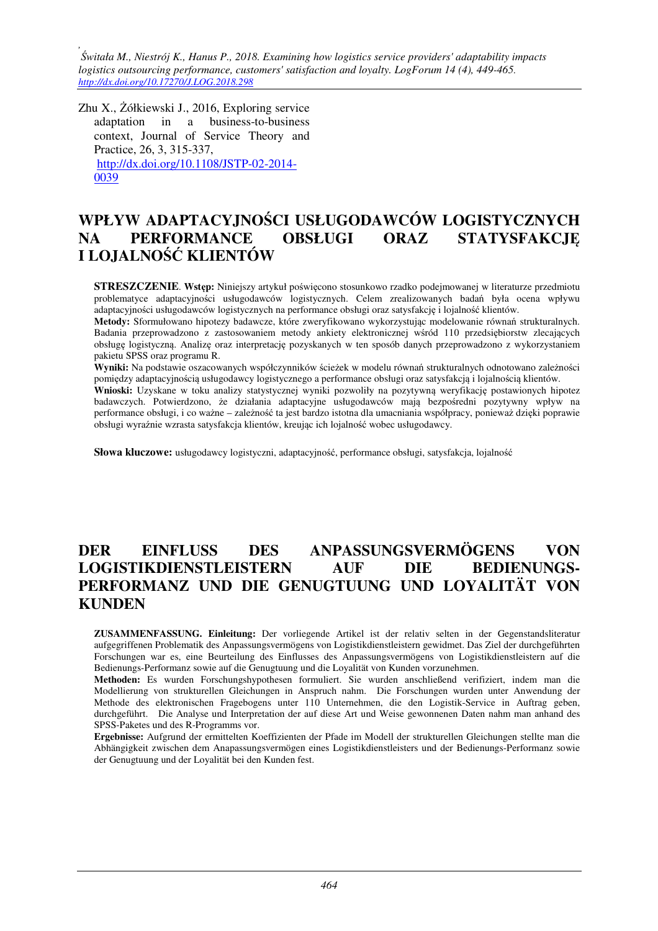Zhu X., Żółkiewski J., 2016, Exploring service adaptation in a business-to-business context, Journal of Service Theory and Practice, 26, 3, 315-337, http://dx.doi.org/10.1108/JSTP-02-2014- 0039

# **WPŁYW ADAPTACYJNOŚCI USŁUGODAWCÓW LOGISTYCZNYCH NA PERFORMANCE OBSŁUGI ORAZ STATYSFAKCJĘ I LOJALNOŚĆ KLIENTÓW**

**STRESZCZENIE**. **Wstęp:** Niniejszy artykuł poświęcono stosunkowo rzadko podejmowanej w literaturze przedmiotu problematyce adaptacyjności usługodawców logistycznych. Celem zrealizowanych badań była ocena wpływu adaptacyjności usługodawców logistycznych na performance obsługi oraz satysfakcję i lojalność klientów.

**Metody:** Sformułowano hipotezy badawcze, które zweryfikowano wykorzystując modelowanie równań strukturalnych. Badania przeprowadzono z zastosowaniem metody ankiety elektronicznej wśród 110 przedsiębiorstw zlecających obsługę logistyczną. Analizę oraz interpretację pozyskanych w ten sposób danych przeprowadzono z wykorzystaniem pakietu SPSS oraz programu R.

**Wyniki:** Na podstawie oszacowanych współczynników ścieżek w modelu równań strukturalnych odnotowano zależności pomiędzy adaptacyjnością usługodawcy logistycznego a performance obsługi oraz satysfakcją i lojalnością klientów.

**Wnioski:** Uzyskane w toku analizy statystycznej wyniki pozwoliły na pozytywną weryfikację postawionych hipotez badawczych. Potwierdzono, że działania adaptacyjne usługodawców mają bezpośredni pozytywny wpływ na performance obsługi, i co ważne – zależność ta jest bardzo istotna dla umacniania współpracy, ponieważ dzięki poprawie obsługi wyraźnie wzrasta satysfakcja klientów, kreując ich lojalność wobec usługodawcy.

**Słowa kluczowe:** usługodawcy logistyczni, adaptacyjność, performance obsługi, satysfakcja, lojalność

# **DER EINFLUSS DES ANPASSUNGSVERMÖGENS VON LOGISTIKDIENSTLEISTERN AUF DIE BEDIENUNGS-PERFORMANZ UND DIE GENUGTUUNG UND LOYALITÄT VON KUNDEN**

**ZUSAMMENFASSUNG. Einleitung:** Der vorliegende Artikel ist der relativ selten in der Gegenstandsliteratur aufgegriffenen Problematik des Anpassungsvermögens von Logistikdienstleistern gewidmet. Das Ziel der durchgeführten Forschungen war es, eine Beurteilung des Einflusses des Anpassungsvermögens von Logistikdienstleistern auf die Bedienungs-Performanz sowie auf die Genugtuung und die Loyalität von Kunden vorzunehmen.

**Methoden:** Es wurden Forschungshypothesen formuliert. Sie wurden anschließend verifiziert, indem man die Modellierung von strukturellen Gleichungen in Anspruch nahm. Die Forschungen wurden unter Anwendung der Methode des elektronischen Fragebogens unter 110 Unternehmen, die den Logistik-Service in Auftrag geben, durchgeführt. Die Analyse und Interpretation der auf diese Art und Weise gewonnenen Daten nahm man anhand des SPSS-Paketes und des R-Programms vor.

**Ergebnisse:** Aufgrund der ermittelten Koeffizienten der Pfade im Modell der strukturellen Gleichungen stellte man die Abhängigkeit zwischen dem Anapassungsvermögen eines Logistikdienstleisters und der Bedienungs-Performanz sowie der Genugtuung und der Loyalität bei den Kunden fest.